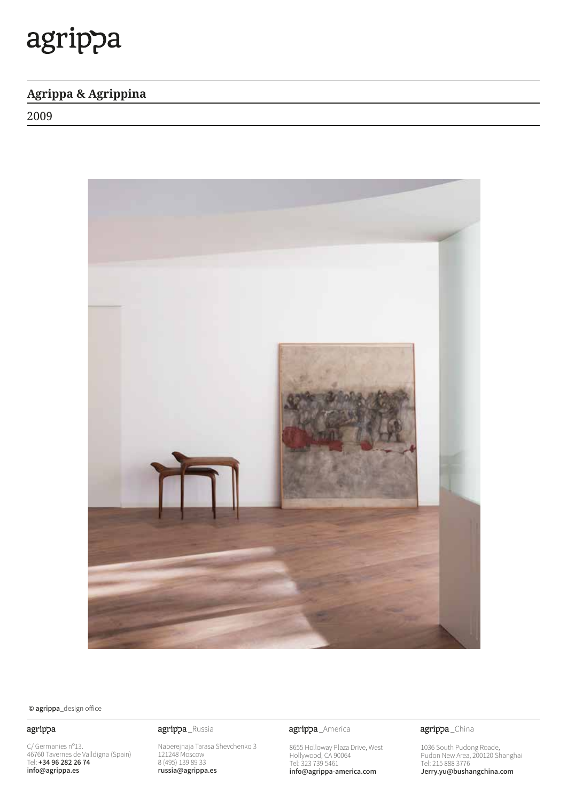### **Agrippa & Agrippina**

2009



### $\odot$  agrippa\_design office

### agrippa

C/ Germanies n°13. 46760 Tavernes de Valldigna (Spain)<br>Tel: **+34 96 282 26 74** info@agrippa.es

Naberejnaja Tarasa Shevchenko 3 121248 Moscow 8 (495) 139 89 33 russia@agrippa.es

agrippa\_Russia **agrippa**\_America

8655 Holloway Plaza Drive, West Hollywood, CA 90064 Tel: 323 739 5461 info@agrippa-america.com

agrippa\_China

1036 South Pudong Roade, Pudon New Area, 200120 Shanghai Tel: 215 888 3776 Jerry.yu@bushangchina.com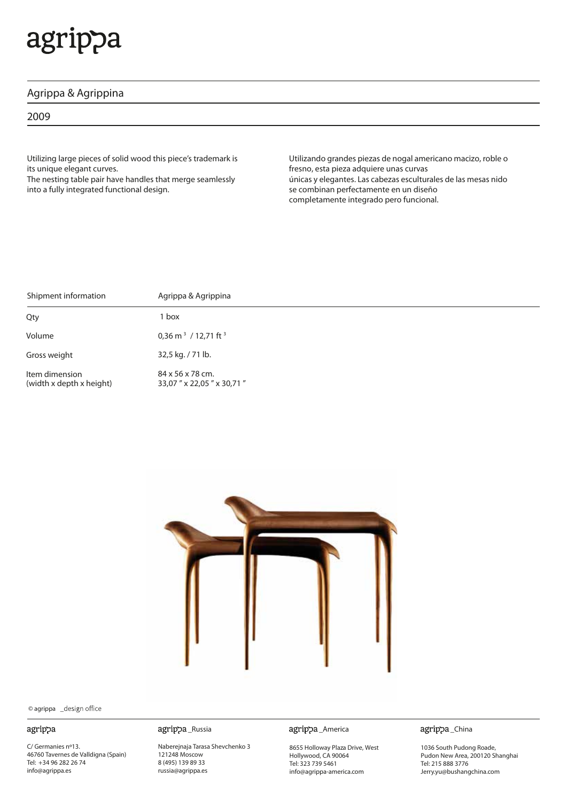### **Agrippa & Agrippina**

2009

Utilizing large pieces of solid wood this piece's trademark is its unique elegant curves.

The nesting table pair have handles that merge seamlessly into a fully integrated functional design.

Utilizando grandes piezas de nogal americano macizo, roble o fresno, esta pieza adquiere unas curvas únicas y elegantes. Las cabezas esculturales de las mesas nido se combinan perfectamente en un diseño completamente integrado pero funcional.

| Shipment information                       | Agrippa & Agrippina                          |
|--------------------------------------------|----------------------------------------------|
| Qty                                        | 1 box                                        |
| Volume                                     | 0,36 m <sup>3</sup> / 12,71 ft <sup>3</sup>  |
| Gross weight                               | 32,5 kg. / 71 lb.                            |
| Item dimension<br>(width x depth x height) | 84 x 56 x 78 cm.<br>33,07" x 22,05" x 30,71" |



© agrippa

#### agrippa

C/ Germanies nº13. 46760 Tavernes de Valldigna (Spain) Tel: +34 96 282 26 74 info@agrippa.es

Naberejnaja Tarasa Shevchenko 3 121248 Moscow 8 (495) 139 89 33 russia@agrippa.es

\_Russia \_America

8655 Holloway Plaza Drive, West Hollywood, CA 90064 Tel: 323 739 5461 info@agrippa-america.com

agrippa\_China

1036 South Pudong Roade, Pudon New Area, 200120 Shanghai Tel: 215 888 3776 Jerry.yu@bushangchina.com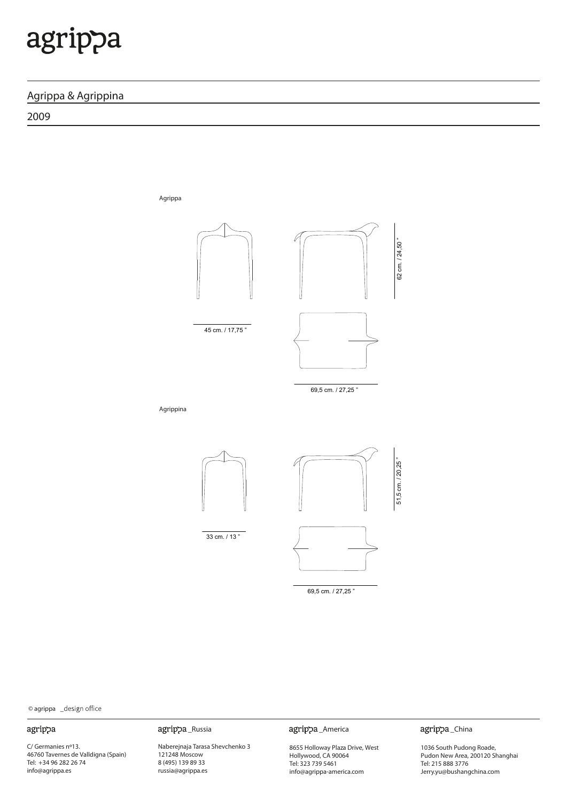### **Agrippa & Agrippina**

2009

Agrippa 62 cm. / 24,50 " 45 cm. / 17,75 " 45 cm. / 17,75 " 69,5 cm. / 27,25 " 69,5 cm. / 27,25 " Agrippina 69,5 cm. / 27,25 " 33 cm. / 13 " 69,5 cm. / 27,25 "

© agrippa

#### agrippa

C/ Germanies nº13. 46760 Tavernes de Valldigna (Spain) Tel: +34 96 282 26 74 info@agrippa.es

Naberejnaja Tarasa Shevchenko 3 121248 Moscow 8 (495) 139 89 33 russia@agrippa.es

agrippa\_Russia agrippa\_America

8655 Holloway Plaza Drive, West Hollywood, CA 90064 Tel: 323 739 5461 info@agrippa-america.com

agrippa\_China

62 cm. / 24,50 "

62 cm. / 24,50 "

51,5 cm. / 20,25 "

1036 South Pudong Roade, Pudon New Area, 200120 Shanghai Tel: 215 888 3776 Jerry.yu@bushangchina.com